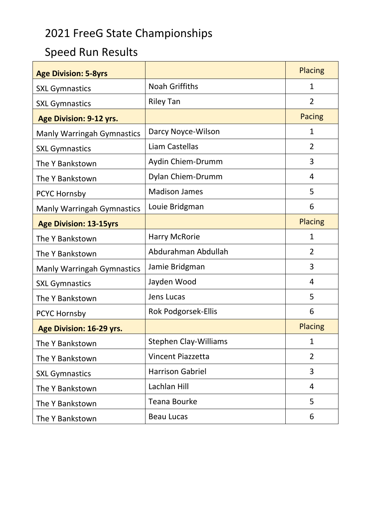## 2021 FreeG State Championships

## Speed Run Results

| <b>Age Division: 5-8yrs</b>       |                              | <b>Placing</b> |
|-----------------------------------|------------------------------|----------------|
| <b>SXL Gymnastics</b>             | <b>Noah Griffiths</b>        | $\mathbf{1}$   |
| <b>SXL Gymnastics</b>             | <b>Riley Tan</b>             | $\overline{2}$ |
| Age Division: 9-12 yrs.           |                              | <b>Pacing</b>  |
| <b>Manly Warringah Gymnastics</b> | Darcy Noyce-Wilson           | $\mathbf{1}$   |
| <b>SXL Gymnastics</b>             | Liam Castellas               | 2              |
| The Y Bankstown                   | Aydin Chiem-Drumm            | 3              |
| The Y Bankstown                   | Dylan Chiem-Drumm            | $\overline{4}$ |
| PCYC Hornsby                      | <b>Madison James</b>         | 5              |
| <b>Manly Warringah Gymnastics</b> | Louie Bridgman               | 6              |
| <b>Age Division: 13-15yrs</b>     |                              | <b>Placing</b> |
| The Y Bankstown                   | <b>Harry McRorie</b>         | $\mathbf{1}$   |
| The Y Bankstown                   | Abdurahman Abdullah          | $\overline{2}$ |
| <b>Manly Warringah Gymnastics</b> | Jamie Bridgman               | 3              |
| <b>SXL Gymnastics</b>             | Jayden Wood                  | 4              |
| The Y Bankstown                   | Jens Lucas                   | 5              |
| PCYC Hornsby                      | <b>Rok Podgorsek-Ellis</b>   | 6              |
| Age Division: 16-29 yrs.          |                              | <b>Placing</b> |
| The Y Bankstown                   | <b>Stephen Clay-Williams</b> | $\mathbf{1}$   |
| The Y Bankstown                   | <b>Vincent Piazzetta</b>     | $\overline{2}$ |
| <b>SXL Gymnastics</b>             | <b>Harrison Gabriel</b>      | 3              |
| The Y Bankstown                   | Lachlan Hill                 | 4              |
| The Y Bankstown                   | <b>Teana Bourke</b>          | 5              |
| The Y Bankstown                   | <b>Beau Lucas</b>            | 6              |